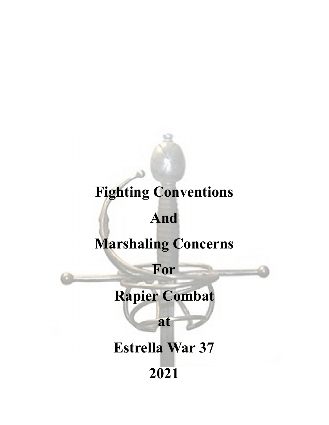# **Fighting Conventions**

## **And**

## **Marshaling Concerns**

**For**

# **Rapier Combat**

**at**

# **Estrella War 37 2021**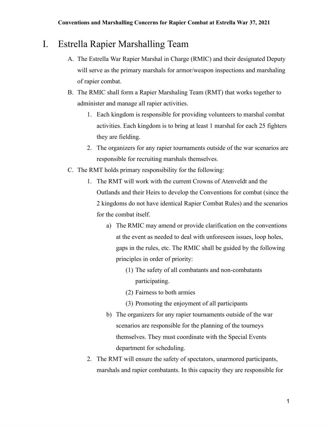### I. Estrella Rapier Marshalling Team

- A. The Estrella War Rapier Marshal in Charge (RMIC) and their designated Deputy will serve as the primary marshals for armor/weapon inspections and marshaling of rapier combat.
- B. The RMIC shall form a Rapier Marshaling Team (RMT) that works together to administer and manage all rapier activities.
	- 1. Each kingdom is responsible for providing volunteers to marshal combat activities. Each kingdom is to bring at least 1 marshal for each 25 fighters they are fielding.
	- 2. The organizers for any rapier tournaments outside of the war scenarios are responsible for recruiting marshals themselves.
- C. The RMT holds primary responsibility for the following:
	- 1. The RMT will work with the current Crowns of Atenveldt and the Outlands and their Heirs to develop the Conventions for combat (since the 2 kingdoms do not have identical Rapier Combat Rules) and the scenarios for the combat itself.
		- a) The RMIC may amend or provide clarification on the conventions at the event as needed to deal with unforeseen issues, loop holes, gaps in the rules, etc. The RMIC shall be guided by the following principles in order of priority:
			- (1) The safety of all combatants and non-combatants participating.
			- (2) Fairness to both armies
			- (3) Promoting the enjoyment of all participants
		- b) The organizers for any rapier tournaments outside of the war scenarios are responsible for the planning of the tourneys themselves. They must coordinate with the Special Events department for scheduling.
	- 2. The RMT will ensure the safety of spectators, unarmored participants, marshals and rapier combatants. In this capacity they are responsible for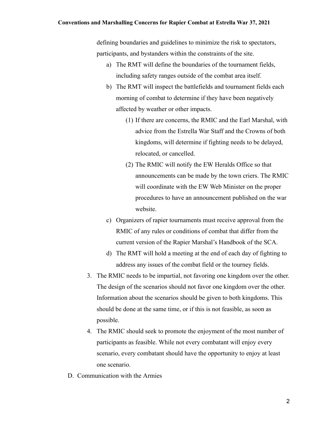#### **Conventions and Marshalling Concerns for Rapier Combat at Estrella War 37, 2021**

defining boundaries and guidelines to minimize the risk to spectators, participants, and bystanders within the constraints of the site.

- a) The RMT will define the boundaries of the tournament fields, including safety ranges outside of the combat area itself.
- b) The RMT will inspect the battlefields and tournament fields each morning of combat to determine if they have been negatively affected by weather or other impacts.
	- (1) If there are concerns, the RMIC and the Earl Marshal, with advice from the Estrella War Staff and the Crowns of both kingdoms, will determine if fighting needs to be delayed, relocated, or cancelled.
	- (2) The RMIC will notify the EW Heralds Office so that announcements can be made by the town criers. The RMIC will coordinate with the EW Web Minister on the proper procedures to have an announcement published on the war website.
- c) Organizers of rapier tournaments must receive approval from the RMIC of any rules or conditions of combat that differ from the current version of the Rapier Marshal's Handbook of the SCA.
- d) The RMT will hold a meeting at the end of each day of fighting to address any issues of the combat field or the tourney fields.
- 3. The RMIC needs to be impartial, not favoring one kingdom over the other. The design of the scenarios should not favor one kingdom over the other. Information about the scenarios should be given to both kingdoms. This should be done at the same time, or if this is not feasible, as soon as possible.
- 4. The RMIC should seek to promote the enjoyment of the most number of participants as feasible. While not every combatant will enjoy every scenario, every combatant should have the opportunity to enjoy at least one scenario.
- D. Communication with the Armies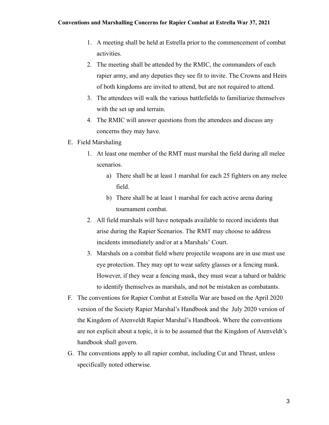- 1. A meeting shall be held at Estrella prior to the commencement of combat activities.
- 2. The meeting shall be attended by the RMIC, the commanders of each rapier army, and any deputies they see fit to invite. The Crowns and Heirs of both kingdoms are invited to attend, but are not required to attend.
- 3. The attendees will walk the various battlefields to familiarize themselves with the set up and terrain.
- 4. The RMIC will answer questions from the attendees and discuss any concerns they may have.
- E. Field Marshaling
	- 1. At least one member of the RMT must marshal the field during all melee scenarios.
		- a) There shall be at least 1 marshal for each 25 fighters on any melee field.
		- b) There shall be at least 1 marshal for each active arena during tournament combat.
	- 2. All field marshals will have notepads available to record incidents that arise during the Rapier Scenarios. The RMT may choose to address incidents immediately and/or at a Marshals' Court.
	- 3. Marshals on a combat field where projectile weapons are in use must use eye protection. They may opt to wear safety glasses or a fencing mask. However, if they wear a fencing mask, they must wear a tabard or baldric to identify themselves as marshals, and not be mistaken as combatants.
- F. The conventions for Rapier Combat at Estrella War are based on the April 2020 version of the Society Rapier Marshal's Handbook and the July 2020 version of the Kingdom of Atenveldt Rapier Marshal's Handbook. Where the conventions are not explicit about a topic, it is to be assumed that the Kingdom of Atenveldt's handbook shall govern.
- G. The conventions apply to all rapier combat, including Cut and Thrust, unless specifically noted otherwise.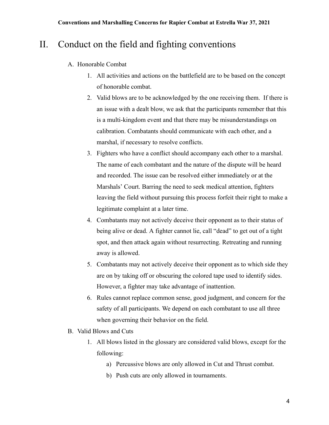## II. Conduct on the field and fighting conventions

- A. Honorable Combat
	- 1. All activities and actions on the battlefield are to be based on the concept of honorable combat.
	- 2. Valid blows are to be acknowledged by the one receiving them. If there is an issue with a dealt blow, we ask that the participants remember that this is a multi-kingdom event and that there may be misunderstandings on calibration. Combatants should communicate with each other, and a marshal, if necessary to resolve conflicts.
	- 3. Fighters who have a conflict should accompany each other to a marshal. The name of each combatant and the nature of the dispute will be heard and recorded. The issue can be resolved either immediately or at the Marshals' Court. Barring the need to seek medical attention, fighters leaving the field without pursuing this process forfeit their right to make a legitimate complaint at a later time.
	- 4. Combatants may not actively deceive their opponent as to their status of being alive or dead. A fighter cannot lie, call "dead" to get out of a tight spot, and then attack again without resurrecting. Retreating and running away is allowed.
	- 5. Combatants may not actively deceive their opponent as to which side they are on by taking off or obscuring the colored tape used to identify sides. However, a fighter may take advantage of inattention.
	- 6. Rules cannot replace common sense, good judgment, and concern for the safety of all participants. We depend on each combatant to use all three when governing their behavior on the field.
- B. Valid Blows and Cuts
	- 1. All blows listed in the glossary are considered valid blows, except for the following:
		- a) Percussive blows are only allowed in Cut and Thrust combat.
		- b) Push cuts are only allowed in tournaments.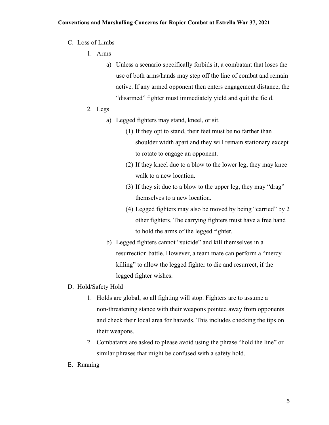#### C. Loss of Limbs

- 1. Arms
	- a) Unless a scenario specifically forbids it, a combatant that loses the use of both arms/hands may step off the line of combat and remain active. If any armed opponent then enters engagement distance, the "disarmed" fighter must immediately yield and quit the field.
- 2. Legs
	- a) Legged fighters may stand, kneel, or sit.
		- (1) If they opt to stand, their feet must be no farther than shoulder width apart and they will remain stationary except to rotate to engage an opponent.
		- (2) If they kneel due to a blow to the lower leg, they may knee walk to a new location.
		- (3) If they sit due to a blow to the upper leg, they may "drag" themselves to a new location.
		- (4) Legged fighters may also be moved by being "carried" by 2 other fighters. The carrying fighters must have a free hand to hold the arms of the legged fighter.
	- b) Legged fighters cannot "suicide" and kill themselves in a resurrection battle. However, a team mate can perform a "mercy killing" to allow the legged fighter to die and resurrect, if the legged fighter wishes.
- D. Hold/Safety Hold
	- 1. Holds are global, so all fighting will stop. Fighters are to assume a non-threatening stance with their weapons pointed away from opponents and check their local area for hazards. This includes checking the tips on their weapons.
	- 2. Combatants are asked to please avoid using the phrase "hold the line" or similar phrases that might be confused with a safety hold.
- E. Running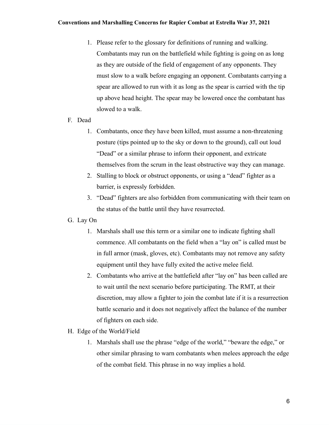- 1. Please refer to the glossary for definitions of running and walking. Combatants may run on the battlefield while fighting is going on as long as they are outside of the field of engagement of any opponents. They must slow to a walk before engaging an opponent. Combatants carrying a spear are allowed to run with it as long as the spear is carried with the tip up above head height. The spear may be lowered once the combatant has slowed to a walk.
- F. Dead
	- 1. Combatants, once they have been killed, must assume a non-threatening posture (tips pointed up to the sky or down to the ground), call out loud "Dead" or a similar phrase to inform their opponent, and extricate themselves from the scrum in the least obstructive way they can manage.
	- 2. Stalling to block or obstruct opponents, or using a "dead" fighter as a barrier, is expressly forbidden.
	- 3. "Dead" fighters are also forbidden from communicating with their team on the status of the battle until they have resurrected.
- G. Lay On
	- 1. Marshals shall use this term or a similar one to indicate fighting shall commence. All combatants on the field when a "lay on" is called must be in full armor (mask, gloves, etc). Combatants may not remove any safety equipment until they have fully exited the active melee field.
	- 2. Combatants who arrive at the battlefield after "lay on" has been called are to wait until the next scenario before participating. The RMT, at their discretion, may allow a fighter to join the combat late if it is a resurrection battle scenario and it does not negatively affect the balance of the number of fighters on each side.
- H. Edge of the World/Field
	- 1. Marshals shall use the phrase "edge of the world," "beware the edge," or other similar phrasing to warn combatants when melees approach the edge of the combat field. This phrase in no way implies a hold.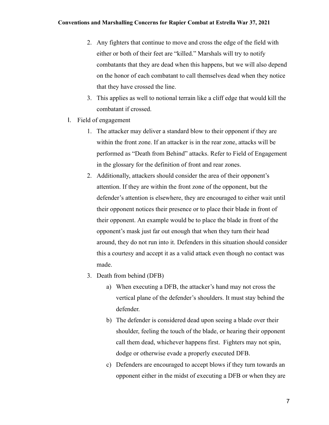- 2. Any fighters that continue to move and cross the edge of the field with either or both of their feet are "killed." Marshals will try to notify combatants that they are dead when this happens, but we will also depend on the honor of each combatant to call themselves dead when they notice that they have crossed the line.
- 3. This applies as well to notional terrain like a cliff edge that would kill the combatant if crossed.
- I. Field of engagement
	- 1. The attacker may deliver a standard blow to their opponent if they are within the front zone. If an attacker is in the rear zone, attacks will be performed as "Death from Behind" attacks. Refer to Field of Engagement in the glossary for the definition of front and rear zones.
	- 2. Additionally, attackers should consider the area of their opponent's attention. If they are within the front zone of the opponent, but the defender's attention is elsewhere, they are encouraged to either wait until their opponent notices their presence or to place their blade in front of their opponent. An example would be to place the blade in front of the opponent's mask just far out enough that when they turn their head around, they do not run into it. Defenders in this situation should consider this a courtesy and accept it as a valid attack even though no contact was made.
	- 3. Death from behind (DFB)
		- a) When executing a DFB, the attacker's hand may not cross the vertical plane of the defender's shoulders. It must stay behind the defender.
		- b) The defender is considered dead upon seeing a blade over their shoulder, feeling the touch of the blade, or hearing their opponent call them dead, whichever happens first. Fighters may not spin, dodge or otherwise evade a properly executed DFB.
		- c) Defenders are encouraged to accept blows if they turn towards an opponent either in the midst of executing a DFB or when they are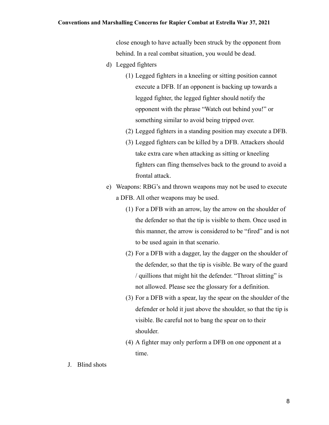#### **Conventions and Marshalling Concerns for Rapier Combat at Estrella War 37, 2021**

close enough to have actually been struck by the opponent from behind. In a real combat situation, you would be dead.

- d) Legged fighters
	- (1) Legged fighters in a kneeling or sitting position cannot execute a DFB. If an opponent is backing up towards a legged fighter, the legged fighter should notify the opponent with the phrase "Watch out behind you!" or something similar to avoid being tripped over.
	- (2) Legged fighters in a standing position may execute a DFB.
	- (3) Legged fighters can be killed by a DFB. Attackers should take extra care when attacking as sitting or kneeling fighters can fling themselves back to the ground to avoid a frontal attack.
- e) Weapons: RBG's and thrown weapons may not be used to execute a DFB. All other weapons may be used.
	- (1) For a DFB with an arrow, lay the arrow on the shoulder of the defender so that the tip is visible to them. Once used in this manner, the arrow is considered to be "fired" and is not to be used again in that scenario.
	- (2) For a DFB with a dagger, lay the dagger on the shoulder of the defender, so that the tip is visible. Be wary of the guard / quillions that might hit the defender. "Throat slitting" is not allowed. Please see the glossary for a definition.
	- (3) For a DFB with a spear, lay the spear on the shoulder of the defender or hold it just above the shoulder, so that the tip is visible. Be careful not to bang the spear on to their shoulder.
	- (4) A fighter may only perform a DFB on one opponent at a time.
- J. Blind shots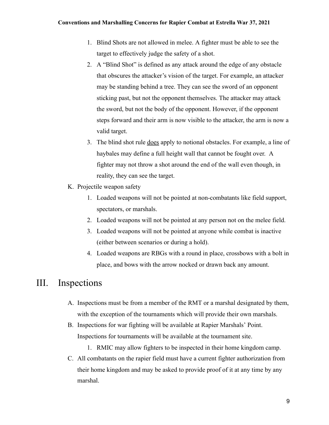- 1. Blind Shots are not allowed in melee. A fighter must be able to see the target to effectively judge the safety of a shot.
- 2. A "Blind Shot" is defined as any attack around the edge of any obstacle that obscures the attacker's vision of the target. For example, an attacker may be standing behind a tree. They can see the sword of an opponent sticking past, but not the opponent themselves. The attacker may attack the sword, but not the body of the opponent. However, if the opponent steps forward and their arm is now visible to the attacker, the arm is now a valid target.
- 3. The blind shot rule does apply to notional obstacles. For example, a line of haybales may define a full height wall that cannot be fought over. A fighter may not throw a shot around the end of the wall even though, in reality, they can see the target.
- K. Projectile weapon safety
	- 1. Loaded weapons will not be pointed at non-combatants like field support, spectators, or marshals.
	- 2. Loaded weapons will not be pointed at any person not on the melee field.
	- 3. Loaded weapons will not be pointed at anyone while combat is inactive (either between scenarios or during a hold).
	- 4. Loaded weapons are RBGs with a round in place, crossbows with a bolt in place, and bows with the arrow nocked or drawn back any amount.

### III. Inspections

- A. Inspections must be from a member of the RMT or a marshal designated by them, with the exception of the tournaments which will provide their own marshals.
- B. Inspections for war fighting will be available at Rapier Marshals' Point. Inspections for tournaments will be available at the tournament site.
	- 1. RMIC may allow fighters to be inspected in their home kingdom camp.
- C. All combatants on the rapier field must have a current fighter authorization from their home kingdom and may be asked to provide proof of it at any time by any marshal.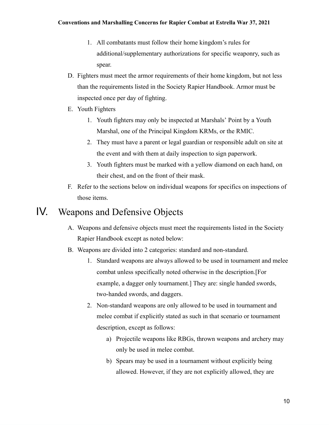- 1. All combatants must follow their home kingdom's rules for additional/supplementary authorizations for specific weaponry, such as spear.
- D. Fighters must meet the armor requirements of their home kingdom, but not less than the requirements listed in the Society Rapier Handbook. Armor must be inspected once per day of fighting.
- E. Youth Fighters
	- 1. Youth fighters may only be inspected at Marshals' Point by a Youth Marshal, one of the Principal Kingdom KRMs, or the RMIC.
	- 2. They must have a parent or legal guardian or responsible adult on site at the event and with them at daily inspection to sign paperwork.
	- 3. Youth fighters must be marked with a yellow diamond on each hand, on their chest, and on the front of their mask.
- F. Refer to the sections below on individual weapons for specifics on inspections of those items.

## IV. Weapons and Defensive Objects

- A. Weapons and defensive objects must meet the requirements listed in the Society Rapier Handbook except as noted below:
- B. Weapons are divided into 2 categories: standard and non-standard.
	- 1. Standard weapons are always allowed to be used in tournament and melee combat unless specifically noted otherwise in the description.[For example, a dagger only tournament.] They are: single handed swords, two-handed swords, and daggers.
	- 2. Non-standard weapons are only allowed to be used in tournament and melee combat if explicitly stated as such in that scenario or tournament description, except as follows:
		- a) Projectile weapons like RBGs, thrown weapons and archery may only be used in melee combat.
		- b) Spears may be used in a tournament without explicitly being allowed. However, if they are not explicitly allowed, they are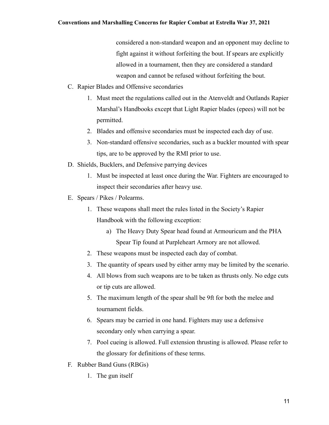considered a non-standard weapon and an opponent may decline to fight against it without forfeiting the bout. If spears are explicitly allowed in a tournament, then they are considered a standard weapon and cannot be refused without forfeiting the bout.

- C. Rapier Blades and Offensive secondaries
	- 1. Must meet the regulations called out in the Atenveldt and Outlands Rapier Marshal's Handbooks except that Light Rapier blades (epees) will not be permitted.
	- 2. Blades and offensive secondaries must be inspected each day of use.
	- 3. Non-standard offensive secondaries, such as a buckler mounted with spear tips, are to be approved by the RMI prior to use.
- D. Shields, Bucklers, and Defensive parrying devices
	- 1. Must be inspected at least once during the War. Fighters are encouraged to inspect their secondaries after heavy use.
- E. Spears / Pikes / Polearms.
	- 1. These weapons shall meet the rules listed in the Society's Rapier Handbook with the following exception:
		- a) The Heavy Duty Spear head found at Armouricum and the PHA Spear Tip found at Purpleheart Armory are not allowed.
	- 2. These weapons must be inspected each day of combat.
	- 3. The quantity of spears used by either army may be limited by the scenario.
	- 4. All blows from such weapons are to be taken as thrusts only. No edge cuts or tip cuts are allowed.
	- 5. The maximum length of the spear shall be 9ft for both the melee and tournament fields.
	- 6. Spears may be carried in one hand. Fighters may use a defensive secondary only when carrying a spear.
	- 7. Pool cueing is allowed. Full extension thrusting is allowed. Please refer to the glossary for definitions of these terms.
- F. Rubber Band Guns (RBGs)
	- 1. The gun itself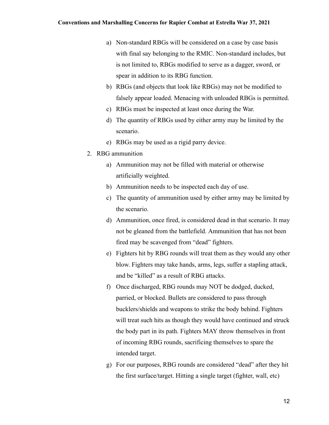- a) Non-standard RBGs will be considered on a case by case basis with final say belonging to the RMIC. Non-standard includes, but is not limited to, RBGs modified to serve as a dagger, sword, or spear in addition to its RBG function.
- b) RBGs (and objects that look like RBGs) may not be modified to falsely appear loaded. Menacing with unloaded RBGs is permitted.
- c) RBGs must be inspected at least once during the War.
- d) The quantity of RBGs used by either army may be limited by the scenario.
- e) RBGs may be used as a rigid parry device.
- 2. RBG ammunition
	- a) Ammunition may not be filled with material or otherwise artificially weighted.
	- b) Ammunition needs to be inspected each day of use.
	- c) The quantity of ammunition used by either army may be limited by the scenario.
	- d) Ammunition, once fired, is considered dead in that scenario. It may not be gleaned from the battlefield. Ammunition that has not been fired may be scavenged from "dead" fighters.
	- e) Fighters hit by RBG rounds will treat them as they would any other blow. Fighters may take hands, arms, legs, suffer a stapling attack, and be "killed" as a result of RBG attacks.
	- f) Once discharged, RBG rounds may NOT be dodged, ducked, parried, or blocked. Bullets are considered to pass through bucklers/shields and weapons to strike the body behind. Fighters will treat such hits as though they would have continued and struck the body part in its path. Fighters MAY throw themselves in front of incoming RBG rounds, sacrificing themselves to spare the intended target.
	- g) For our purposes, RBG rounds are considered "dead" after they hit the first surface/target. Hitting a single target (fighter, wall, etc)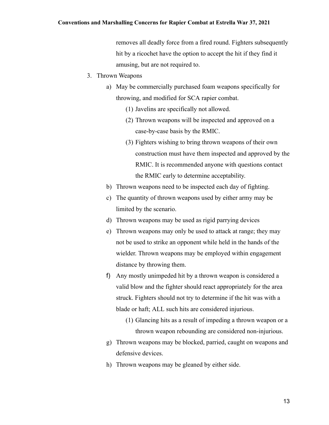removes all deadly force from a fired round. Fighters subsequently hit by a ricochet have the option to accept the hit if they find it amusing, but are not required to.

- 3. Thrown Weapons
	- a) May be commercially purchased foam weapons specifically for throwing, and modified for SCA rapier combat.
		- (1) Javelins are specifically not allowed.
		- (2) Thrown weapons will be inspected and approved on a case-by-case basis by the RMIC.
		- (3) Fighters wishing to bring thrown weapons of their own construction must have them inspected and approved by the RMIC. It is recommended anyone with questions contact the RMIC early to determine acceptability.
	- b) Thrown weapons need to be inspected each day of fighting.
	- c) The quantity of thrown weapons used by either army may be limited by the scenario.
	- d) Thrown weapons may be used as rigid parrying devices
	- e) Thrown weapons may only be used to attack at range; they may not be used to strike an opponent while held in the hands of the wielder. Thrown weapons may be employed within engagement distance by throwing them.
	- f) Any mostly unimpeded hit by a thrown weapon is considered a valid blow and the fighter should react appropriately for the area struck. Fighters should not try to determine if the hit was with a blade or haft; ALL such hits are considered injurious.
		- (1) Glancing hits as a result of impeding a thrown weapon or a thrown weapon rebounding are considered non-injurious.
	- g) Thrown weapons may be blocked, parried, caught on weapons and defensive devices.
	- h) Thrown weapons may be gleaned by either side.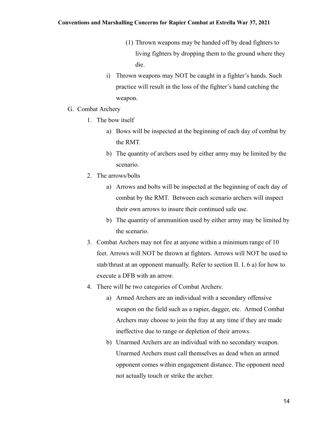#### **Conventions and Marshalling Concerns for Rapier Combat at Estrella War 37, 2021**

- (1) Thrown weapons may be handed off by dead fighters to living fighters by dropping them to the ground where they die.
- i) Thrown weapons may NOT be caught in a fighter's hands. Such practice will result in the loss of the fighter's hand catching the weapon.
- G. Combat Archery
	- 1. The bow itself
		- a) Bows will be inspected at the beginning of each day of combat by the RMT.
		- b) The quantity of archers used by either army may be limited by the scenario.
	- 2. The arrows/bolts
		- a) Arrows and bolts will be inspected at the beginning of each day of combat by the RMT. Between each scenario archers will inspect their own arrows to insure their continued safe use.
		- b) The quantity of ammunition used by either army may be limited by the scenario.
	- 3. Combat Archers may not fire at anyone within a minimum range of 10 feet. Arrows will NOT be thrown at fighters. Arrows will NOT be used to stab/thrust at an opponent manually. Refer to section II. I. 6 a) for how to execute a DFB with an arrow.
	- 4. There will be two categories of Combat Archers:
		- a) Armed Archers are an individual with a secondary offensive weapon on the field such as a rapier, dagger, etc. Armed Combat Archers may choose to join the fray at any time if they are made ineffective due to range or depletion of their arrows.
		- b) Unarmed Archers are an individual with no secondary weapon. Unarmed Archers must call themselves as dead when an armed opponent comes within engagement distance. The opponent need not actually touch or strike the archer.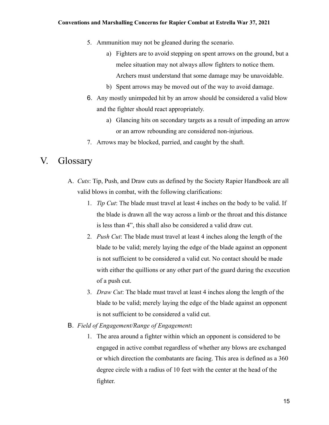- 5. Ammunition may not be gleaned during the scenario.
	- a) Fighters are to avoid stepping on spent arrows on the ground, but a melee situation may not always allow fighters to notice them. Archers must understand that some damage may be unavoidable.
	- b) Spent arrows may be moved out of the way to avoid damage.
- 6. Any mostly unimpeded hit by an arrow should be considered a valid blow and the fighter should react appropriately.
	- a) Glancing hits on secondary targets as a result of impeding an arrow or an arrow rebounding are considered non-injurious.
- 7. Arrows may be blocked, parried, and caught by the shaft.

#### V. Glossary

- A. *Cuts*: Tip, Push, and Draw cuts as defined by the Society Rapier Handbook are all valid blows in combat, with the following clarifications:
	- 1. *Tip Cut*: The blade must travel at least 4 inches on the body to be valid. If the blade is drawn all the way across a limb or the throat and this distance is less than 4", this shall also be considered a valid draw cut.
	- 2. *Push Cut*: The blade must travel at least 4 inches along the length of the blade to be valid; merely laying the edge of the blade against an opponent is not sufficient to be considered a valid cut. No contact should be made with either the quillions or any other part of the guard during the execution of a push cut.
	- 3. *Draw Cut*: The blade must travel at least 4 inches along the length of the blade to be valid; merely laying the edge of the blade against an opponent is not sufficient to be considered a valid cut.
- B. *Field of Engagement/Range of Engagement***:**
	- 1. The area around a fighter within which an opponent is considered to be engaged in active combat regardless of whether any blows are exchanged or which direction the combatants are facing. This area is defined as a 360 degree circle with a radius of 10 feet with the center at the head of the fighter.